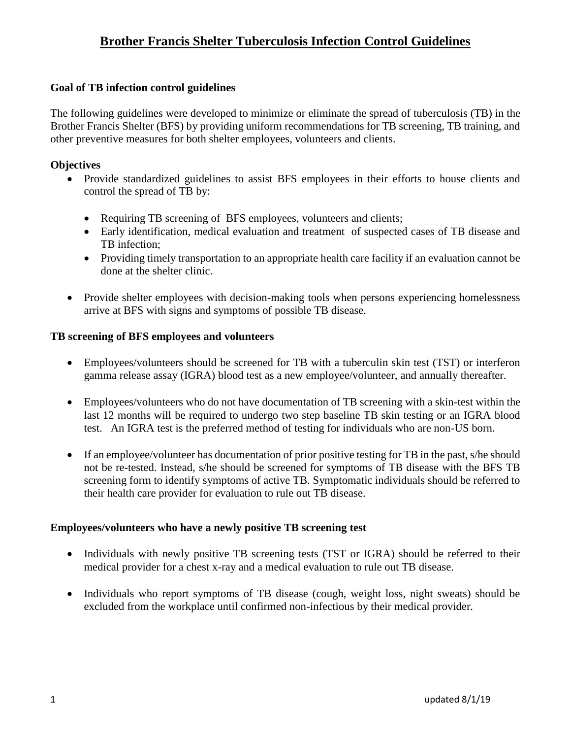## **Goal of TB infection control guidelines**

The following guidelines were developed to minimize or eliminate the spread of tuberculosis (TB) in the Brother Francis Shelter (BFS) by providing uniform recommendations for TB screening, TB training, and other preventive measures for both shelter employees, volunteers and clients.

## **Objectives**

- Provide standardized guidelines to assist BFS employees in their efforts to house clients and control the spread of TB by:
	- Requiring TB screening of BFS employees, volunteers and clients;
	- Early identification, medical evaluation and treatment of suspected cases of TB disease and TB infection;
	- Providing timely transportation to an appropriate health care facility if an evaluation cannot be done at the shelter clinic.
- Provide shelter employees with decision-making tools when persons experiencing homelessness arrive at BFS with signs and symptoms of possible TB disease.

#### **TB screening of BFS employees and volunteers**

- Employees/volunteers should be screened for TB with a tuberculin skin test (TST) or interferon gamma release assay (IGRA) blood test as a new employee/volunteer, and annually thereafter.
- Employees/volunteers who do not have documentation of TB screening with a skin-test within the last 12 months will be required to undergo two step baseline TB skin testing or an IGRA blood test. An IGRA test is the preferred method of testing for individuals who are non-US born.
- If an employee/volunteer has documentation of prior positive testing for TB in the past, s/he should not be re-tested. Instead, s/he should be screened for symptoms of TB disease with the BFS TB screening form to identify symptoms of active TB. Symptomatic individuals should be referred to their health care provider for evaluation to rule out TB disease.

#### **Employees/volunteers who have a newly positive TB screening test**

- Individuals with newly positive TB screening tests (TST or IGRA) should be referred to their medical provider for a chest x-ray and a medical evaluation to rule out TB disease.
- Individuals who report symptoms of TB disease (cough, weight loss, night sweats) should be excluded from the workplace until confirmed non-infectious by their medical provider.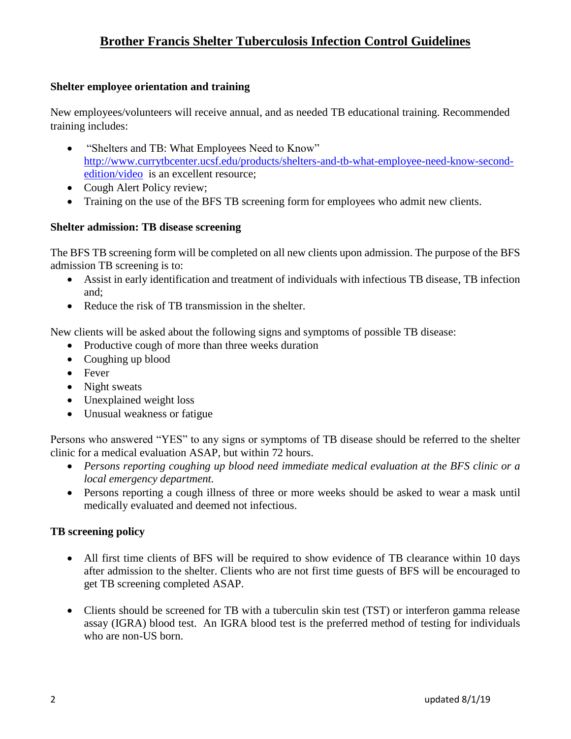## **Shelter employee orientation and training**

New employees/volunteers will receive annual, and as needed TB educational training. Recommended training includes:

- "Shelters and TB: What Employees Need to Know" [http://www.currytbcenter.ucsf.edu/products/shelters-and-tb-what-employee-need-know-second](http://www.currytbcenter.ucsf.edu/products/shelters-and-tb-what-staff-need-know-second-edition/video)[edition/video](http://www.currytbcenter.ucsf.edu/products/shelters-and-tb-what-staff-need-know-second-edition/video) is an excellent resource;
- Cough Alert Policy review;
- Training on the use of the BFS TB screening form for employees who admit new clients.

#### **Shelter admission: TB disease screening**

The BFS TB screening form will be completed on all new clients upon admission. The purpose of the BFS admission TB screening is to:

- Assist in early identification and treatment of individuals with infectious TB disease, TB infection and;
- Reduce the risk of TB transmission in the shelter.

New clients will be asked about the following signs and symptoms of possible TB disease:

- Productive cough of more than three weeks duration
- Coughing up blood
- Fever
- Night sweats
- Unexplained weight loss
- Unusual weakness or fatigue

Persons who answered "YES" to any signs or symptoms of TB disease should be referred to the shelter clinic for a medical evaluation ASAP, but within 72 hours.

- *Persons reporting coughing up blood need immediate medical evaluation at the BFS clinic or a local emergency department.*
- Persons reporting a cough illness of three or more weeks should be asked to wear a mask until medically evaluated and deemed not infectious.

#### **TB screening policy**

- All first time clients of BFS will be required to show evidence of TB clearance within 10 days after admission to the shelter. Clients who are not first time guests of BFS will be encouraged to get TB screening completed ASAP.
- Clients should be screened for TB with a tuberculin skin test (TST) or interferon gamma release assay (IGRA) blood test. An IGRA blood test is the preferred method of testing for individuals who are non-US born.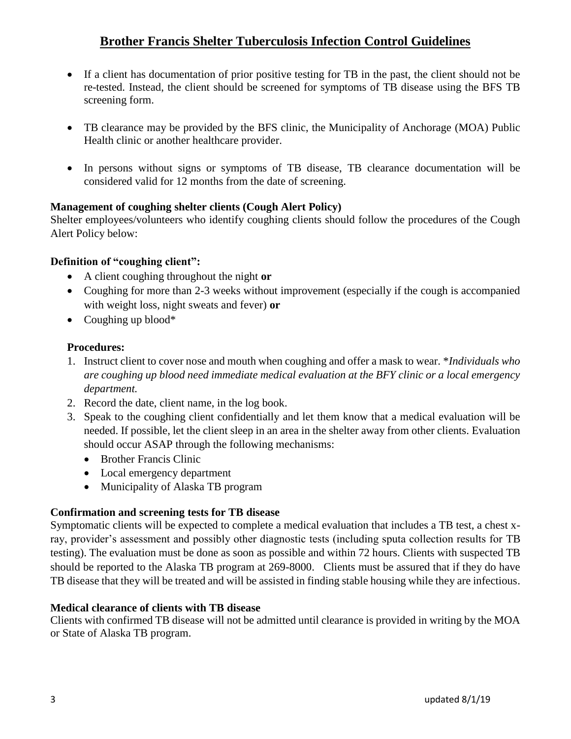- If a client has documentation of prior positive testing for TB in the past, the client should not be re-tested. Instead, the client should be screened for symptoms of TB disease using the BFS TB screening form.
- TB clearance may be provided by the BFS clinic, the Municipality of Anchorage (MOA) Public Health clinic or another healthcare provider.
- In persons without signs or symptoms of TB disease, TB clearance documentation will be considered valid for 12 months from the date of screening.

## **Management of coughing shelter clients (Cough Alert Policy)**

Shelter employees/volunteers who identify coughing clients should follow the procedures of the Cough Alert Policy below:

### **Definition of "coughing client":**

- A client coughing throughout the night **or**
- Coughing for more than 2-3 weeks without improvement (especially if the cough is accompanied with weight loss, night sweats and fever) **or**
- $\bullet$  Coughing up blood\*

### **Procedures:**

- 1. Instruct client to cover nose and mouth when coughing and offer a mask to wear. \**Individuals who are coughing up blood need immediate medical evaluation at the BFY clinic or a local emergency department.*
- 2. Record the date, client name, in the log book.
- 3. Speak to the coughing client confidentially and let them know that a medical evaluation will be needed. If possible, let the client sleep in an area in the shelter away from other clients. Evaluation should occur ASAP through the following mechanisms:
	- Brother Francis Clinic
	- Local emergency department
	- Municipality of Alaska TB program

## **Confirmation and screening tests for TB disease**

Symptomatic clients will be expected to complete a medical evaluation that includes a TB test, a chest xray, provider's assessment and possibly other diagnostic tests (including sputa collection results for TB testing). The evaluation must be done as soon as possible and within 72 hours. Clients with suspected TB should be reported to the Alaska TB program at 269-8000. Clients must be assured that if they do have TB disease that they will be treated and will be assisted in finding stable housing while they are infectious.

## **Medical clearance of clients with TB disease**

Clients with confirmed TB disease will not be admitted until clearance is provided in writing by the MOA or State of Alaska TB program.